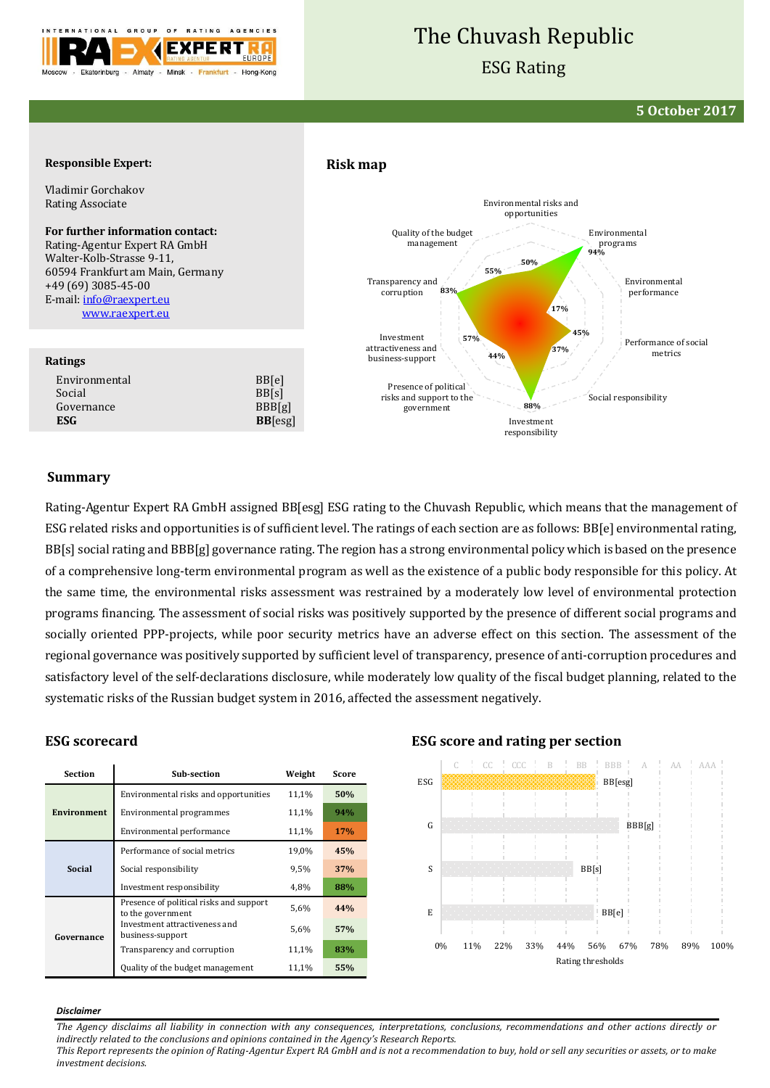

# The Chuvash Republic

## ESG Rating

**5 October 2017**

#### **Responsible Expert:**

Vladimir Gorchakov Rating Associate

#### **For further information contact:**

Rating-Agentur Expert RA GmbH Walter-Kolb-Strasse 9-11, 60594 Frankfurt am Main, Germany +49 (69) 3085-45-00 E-mail[: info@raexpert.eu](mailto:info@raexpert.eu) [www.raexpert.eu](http://raexpert.eu/)

#### **Ratings**

Environmental BB[e] Social BB[s] Governance BBB[g] **ESG BB**[esg]

## **Risk map**



#### **Summary**

Rating-Agentur Expert RA GmbH assigned BB[esg] ESG rating to the Chuvash Republic, which means that the management of ESG related risks and opportunities is of sufficient level. The ratings of each section are as follows: BB[e] environmental rating, BB[s] social rating and BBB[g] governance rating. The region has a strong environmental policy which is based on the presence of a comprehensive long-term environmental program as well as the existence of a public body responsible for this policy. At the same time, the environmental risks assessment was restrained by a moderately low level of environmental protection programs financing. The assessment of social risks was positively supported by the presence of different social programs and socially oriented PPP-projects, while poor security metrics have an adverse effect on this section. The assessment of the regional governance was positively supported by sufficient level of transparency, presence of anti-corruption procedures and satisfactory level of the self-declarations disclosure, while moderately low quality of the fiscal budget planning, related to the systematic risks of the Russian budget system in 2016, affected the assessment negatively.

#### **ESG scorecard**

| <b>Section</b>     | Sub-section                                                  | Weight | Score      |
|--------------------|--------------------------------------------------------------|--------|------------|
| <b>Environment</b> | Environmental risks and opportunities                        | 11,1%  | 50%        |
|                    | Environmental programmes                                     | 11,1%  | 94%        |
|                    | Environmental performance                                    | 11,1%  | <b>17%</b> |
| Social             | Performance of social metrics                                | 19,0%  | 45%        |
|                    | Social responsibility                                        | 9.5%   | 37%        |
|                    | Investment responsibility                                    | 4,8%   | 88%        |
| Governance         | Presence of political risks and support<br>to the government | 5.6%   | 44%        |
|                    | Investment attractiveness and<br>business-support            | 5.6%   | 57%        |
|                    | Transparency and corruption                                  | 11,1%  | 83%        |
|                    | Quality of the budget management                             | 11,1%  | 55%        |

#### **ESG score and rating per section**



#### *Disclaimer*

*The Agency disclaims all liability in connection with any consequences, interpretations, conclusions, recommendations and other actions directly or indirectly related to the conclusions and opinions contained in the Agency's Research Reports. This Report represents the opinion of Rating-Agentur Expert RA GmbH and is not a recommendation to buy, hold or sell any securities or assets, or to make investment decisions.*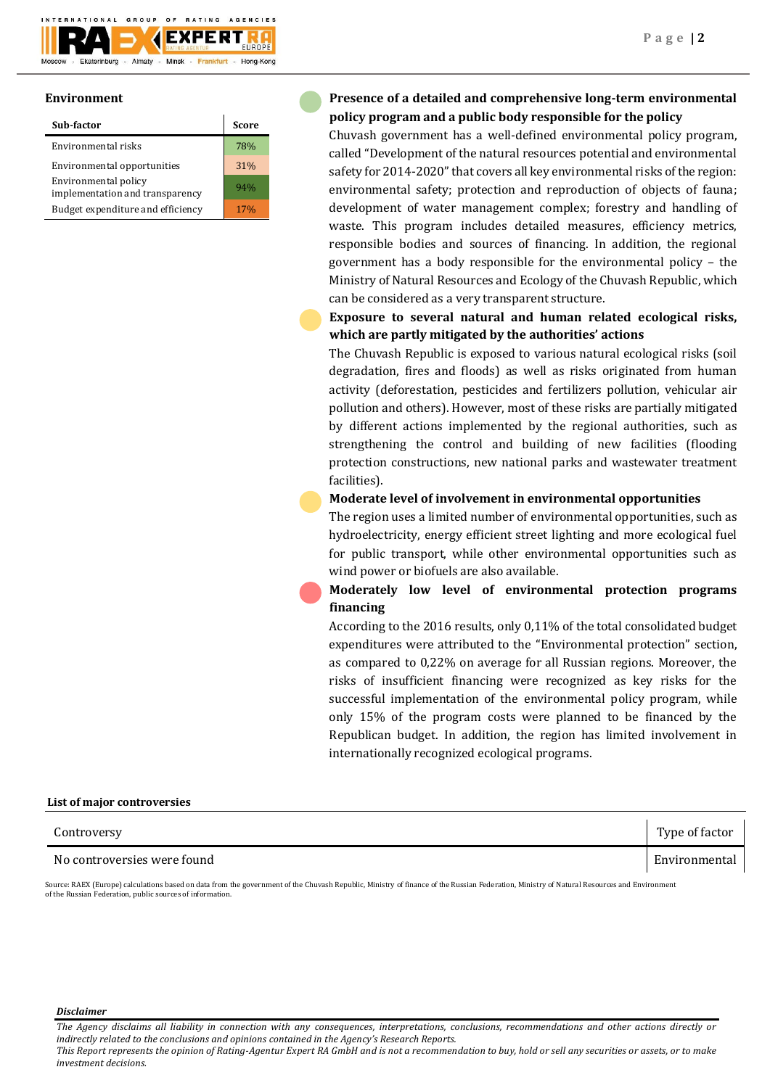

#### **Environment**

| Sub-factor                                              | <b>Score</b> |
|---------------------------------------------------------|--------------|
| Environmental risks                                     | 78%          |
| Environmental opportunities                             | 31%          |
| Environmental policy<br>implementation and transparency | 94%          |
| Budget expenditure and efficiency                       | 17%          |

## **Presence of a detailed and comprehensive long-term environmental policy program and a public body responsible for the policy**

Chuvash government has a well-defined environmental policy program, called "Development of the natural resources potential and environmental safety for 2014-2020" that covers all key environmental risks of the region: environmental safety; protection and reproduction of objects of fauna; development of water management complex; forestry and handling of waste. This program includes detailed measures, efficiency metrics, responsible bodies and sources of financing. In addition, the regional government has a body responsible for the environmental policy – the Ministry of Natural Resources and Ecology of the Chuvash Republic, which can be considered as a very transparent structure.

**Exposure to several natural and human related ecological risks, which are partly mitigated by the authorities' actions**

The Chuvash Republic is exposed to various natural ecological risks (soil degradation, fires and floods) as well as risks originated from human activity (deforestation, pesticides and fertilizers pollution, vehicular air pollution and others). However, most of these risks are partially mitigated by different actions implemented by the regional authorities, such as strengthening the control and building of new facilities (flooding protection constructions, new national parks and wastewater treatment facilities).

### **Moderate level of involvement in environmental opportunities**

The region uses a limited number of environmental opportunities, such as hydroelectricity, energy efficient street lighting and more ecological fuel for public transport, while other environmental opportunities such as wind power or biofuels are also available.

## **Moderately low level of environmental protection programs financing**

According to the 2016 results, only 0,11% of the total consolidated budget expenditures were attributed to the "Environmental protection" section, as compared to 0,22% on average for all Russian regions. Moreover, the risks of insufficient financing were recognized as key risks for the successful implementation of the environmental policy program, while only 15% of the program costs were planned to be financed by the Republican budget. In addition, the region has limited involvement in internationally recognized ecological programs.

| Controversy                 | Type of factor |
|-----------------------------|----------------|
| No controversies were found | Environmental  |

Source: RAEX (Europe) calculations based on data from the government of the Chuvash Republic, Ministry of finance of the Russian Federation, Ministry of Natural Resources and Environment of the Russian Federation, public sources of information.

#### *Disclaimer*

**List of major controversies**

*The Agency disclaims all liability in connection with any consequences, interpretations, conclusions, recommendations and other actions directly or indirectly related to the conclusions and opinions contained in the Agency's Research Reports.*

*This Report represents the opinion of Rating-Agentur Expert RA GmbH and is not a recommendation to buy, hold or sell any securities or assets, or to make investment decisions.*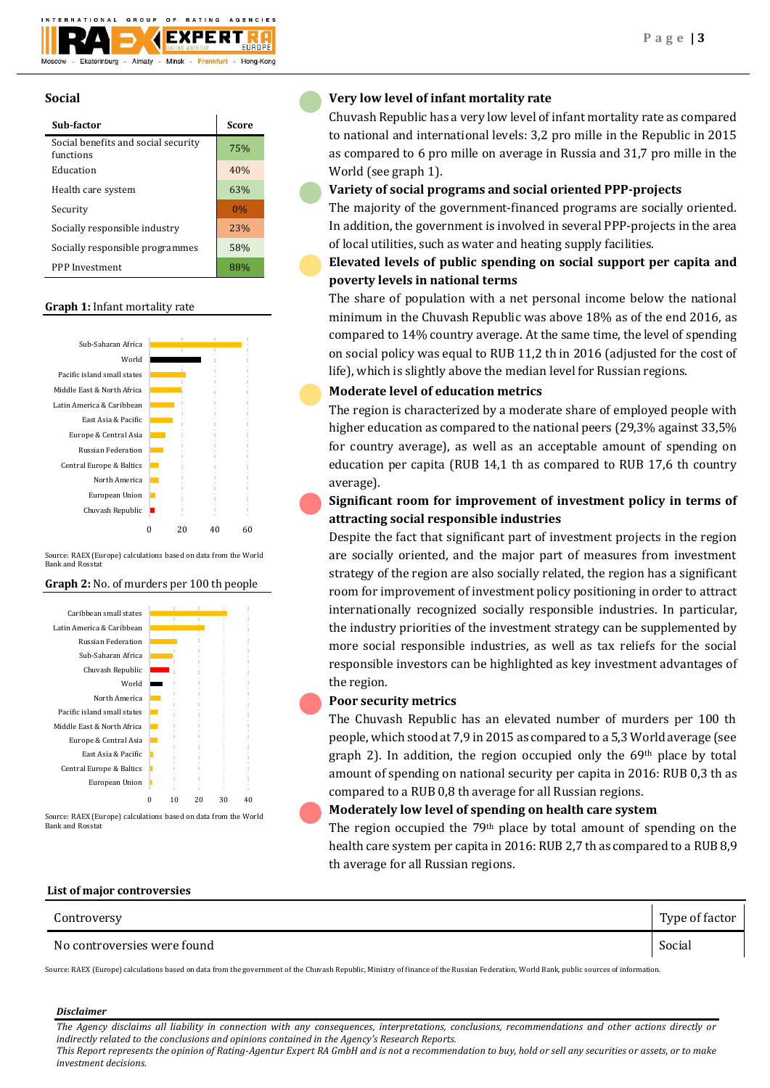

## **Social**

| Sub-factor                                       | Score |
|--------------------------------------------------|-------|
| Social benefits and social security<br>functions | 75%   |
| Education                                        | 40%   |
| Health care system                               | 63%   |
| Security                                         | 0%    |
| Socially responsible industry                    | 23%   |
| Socially responsible programmes                  | 58%   |
| PPP Investment                                   |       |

#### **Graph 1:** Infant mortality rate



Source: RAEX (Europe) calculations based on data from the World Bank and Rosstat

#### **Graph 2:** No. of murders per 100 th people



Bank and Rosstat

## **Very low level of infant mortality rate**

Chuvash Republic has a very low level of infant mortality rate as compared to national and international levels: 3,2 pro mille in the Republic in 2015 as compared to 6 pro mille on average in Russia and 31,7 pro mille in the World (see graph 1).

## **Variety of social programs and social oriented PPP-projects**

The majority of the government-financed programs are socially oriented. In addition, the government is involved in several PPP-projects in the area of local utilities, such as water and heating supply facilities.

## **Elevated levels of public spending on social support per capita and poverty levels in national terms**

The share of population with a net personal income below the national minimum in the Chuvash Republic was above 18% as of the end 2016, as compared to 14% country average. At the same time, the level of spending on social policy was equal to RUB 11,2 th in 2016 (adjusted for the cost of life), which is slightly above the median level for Russian regions.

## **Moderate level of education metrics**

The region is characterized by a moderate share of employed people with higher education as compared to the national peers (29,3% against 33,5% for country average), as well as an acceptable amount of spending on education per capita (RUB 14,1 th as compared to RUB 17,6 th country average).

## **Significant room for improvement of investment policy in terms of attracting social responsible industries**

Despite the fact that significant part of investment projects in the region are socially oriented, and the major part of measures from investment strategy of the region are also socially related, the region has a significant room for improvement of investment policy positioning in order to attract internationally recognized socially responsible industries. In particular, the industry priorities of the investment strategy can be supplemented by more social responsible industries, as well as tax reliefs for the social responsible investors can be highlighted as key investment advantages of the region.

## **Poor security metrics**

The Chuvash Republic has an elevated number of murders per 100 th people, which stood at 7,9 in 2015 as compared to a 5,3 World average (see graph 2). In addition, the region occupied only the  $69<sup>th</sup>$  place by total amount of spending on national security per capita in 2016: RUB 0,3 th as compared to a RUB 0,8 th average for all Russian regions.

## **Moderately low level of spending on health care system**

The region occupied the 79th place by total amount of spending on the health care system per capita in 2016: RUB 2,7 th as compared to a RUB 8,9 th average for all Russian regions.

#### **List of major controversies**

| Controversy                 | Type of factor |
|-----------------------------|----------------|
| No controversies were found | Social         |

Source: RAEX (Europe) calculations based on data from the government of the Chuvash Republic, Ministry of finance of the Russian Federation, World Bank, public sources of information.

#### *Disclaimer*

*The Agency disclaims all liability in connection with any consequences, interpretations, conclusions, recommendations and other actions directly or indirectly related to the conclusions and opinions contained in the Agency's Research Reports.*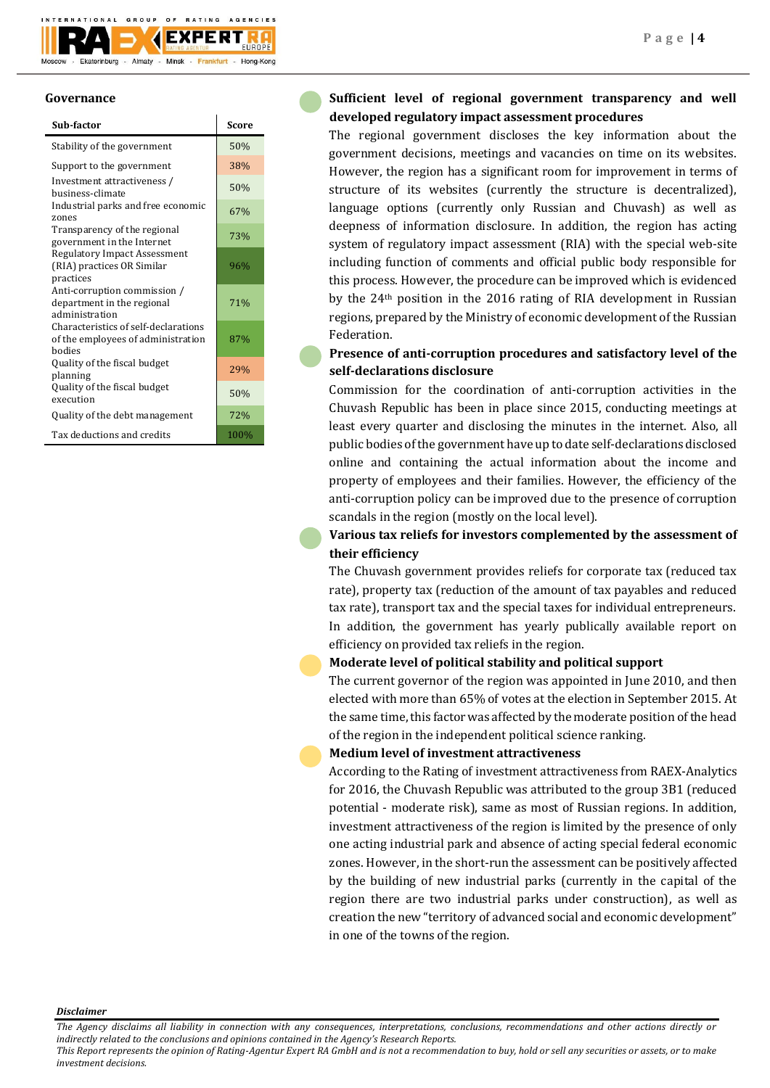

### **Governance**

| Sub-factor                                                                           | Score |
|--------------------------------------------------------------------------------------|-------|
| Stability of the government                                                          | 50%   |
| Support to the government                                                            | 38%   |
| Investment attractiveness /<br>business-climate                                      | 50%   |
| Industrial parks and free economic<br>zones                                          | 67%   |
| Transparency of the regional<br>government in the Internet                           | 73%   |
| <b>Regulatory Impact Assessment</b><br>(RIA) practices OR Similar<br>practices       | 96%   |
| Anti-corruption commission /<br>department in the regional<br>administration         | 71%   |
| Characteristics of self-declarations<br>of the employees of administration<br>hodies | 87%   |
| Quality of the fiscal budget<br>planning                                             | 29%   |
| Quality of the fiscal budget<br>execution                                            | 50%   |
| Quality of the debt management                                                       | 72%   |
| Tax deductions and credits                                                           | 100%  |

## **Sufficient level of regional government transparency and well developed regulatory impact assessment procedures**

The regional government discloses the key information about the government decisions, meetings and vacancies on time on its websites. However, the region has a significant room for improvement in terms of structure of its websites (currently the structure is decentralized), language options (currently only Russian and Chuvash) as well as deepness of information disclosure. In addition, the region has acting system of regulatory impact assessment (RIA) with the special web-site including function of comments and official public body responsible for this process. However, the procedure can be improved which is evidenced by the 24th position in the 2016 rating of RIA development in Russian regions, prepared by the Ministry of economic development of the Russian Federation.

## **Presence of anti-corruption procedures and satisfactory level of the self-declarations disclosure**

Commission for the coordination of anti-corruption activities in the Chuvash Republic has been in place since 2015, conducting meetings at least every quarter and disclosing the minutes in the internet. Also, all public bodies of the government have up to date self-declarations disclosed online and containing the actual information about the income and property of employees and their families. However, the efficiency of the anti-corruption policy can be improved due to the presence of corruption scandals in the region (mostly on the local level).

## **Various tax reliefs for investors complemented by the assessment of their efficiency**

The Chuvash government provides reliefs for corporate tax (reduced tax rate), property tax (reduction of the amount of tax payables and reduced tax rate), transport tax and the special taxes for individual entrepreneurs. In addition, the government has yearly publically available report on efficiency on provided tax reliefs in the region.

## **Moderate level of political stability and political support**

The current governor of the region was appointed in June 2010, and then elected with more than 65% of votes at the election in September 2015. At the same time, this factor was affected by the moderate position of the head of the region in the independent political science ranking.

## **Medium level of investment attractiveness**

According to the Rating of investment attractiveness from RAEX-Analytics for 2016, the Chuvash Republic was attributed to the group 3B1 (reduced potential - moderate risk), same as most of Russian regions. In addition, investment attractiveness of the region is limited by the presence of only one acting industrial park and absence of acting special federal economic zones. However, in the short-run the assessment can be positively affected by the building of new industrial parks (currently in the capital of the region there are two industrial parks under construction), as well as creation the new "territory of advanced social and economic development" in one of the towns of the region.

*Disclaimer* 

*This Report represents the opinion of Rating-Agentur Expert RA GmbH and is not a recommendation to buy, hold or sell any securities or assets, or to make investment decisions.*

*The Agency disclaims all liability in connection with any consequences, interpretations, conclusions, recommendations and other actions directly or indirectly related to the conclusions and opinions contained in the Agency's Research Reports.*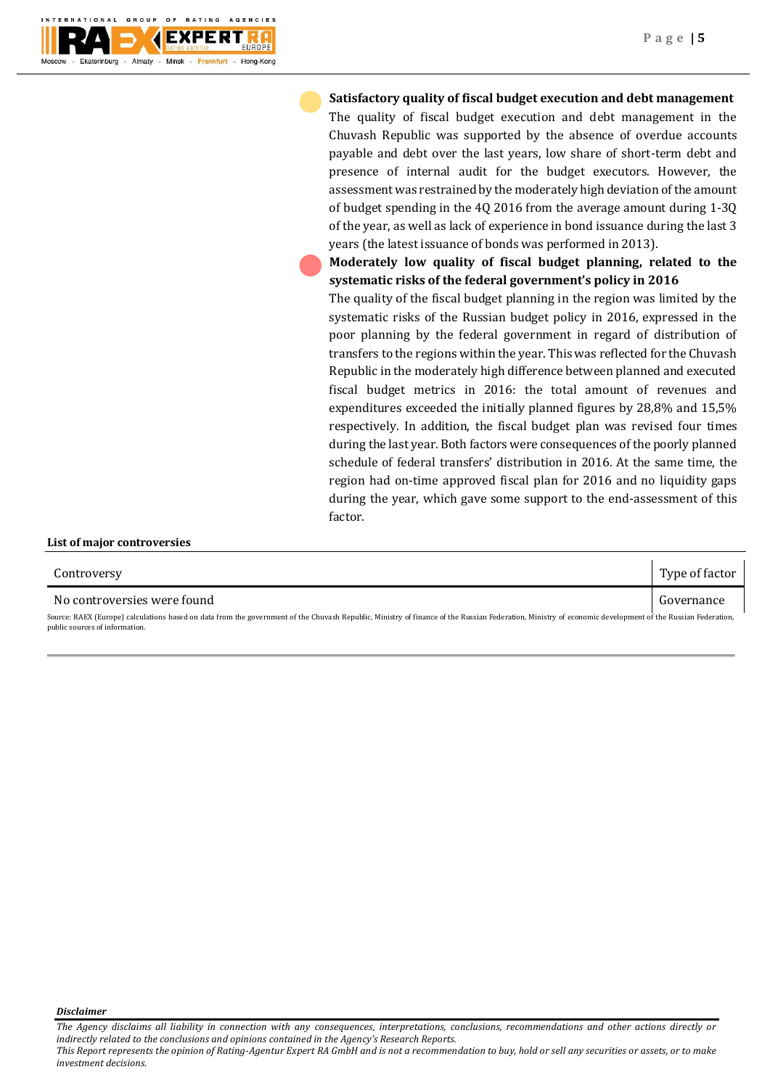

**Satisfactory quality of fiscal budget execution and debt management** The quality of fiscal budget execution and debt management in the Chuvash Republic was supported by the absence of overdue accounts payable and debt over the last years, low share of short-term debt and presence of internal audit for the budget executors. However, the assessment was restrained by the moderately high deviation of the amount of budget spending in the 4Q 2016 from the average amount during 1-3Q of the year, as well as lack of experience in bond issuance during the last 3 years (the latest issuance of bonds was performed in 2013).

**Moderately low quality of fiscal budget planning, related to the systematic risks of the federal government's policy in 2016**

The quality of the fiscal budget planning in the region was limited by the systematic risks of the Russian budget policy in 2016, expressed in the poor planning by the federal government in regard of distribution of transfers to the regions within the year. This was reflected for the Chuvash Republic in the moderately high difference between planned and executed fiscal budget metrics in 2016: the total amount of revenues and expenditures exceeded the initially planned figures by 28,8% and 15,5% respectively. In addition, the fiscal budget plan was revised four times during the last year. Both factors were consequences of the poorly planned schedule of federal transfers' distribution in 2016. At the same time, the region had on-time approved fiscal plan for 2016 and no liquidity gaps during the year, which gave some support to the end-assessment of this factor.

| Controversy                                                                                                                                                                                                                                | Type of factor |
|--------------------------------------------------------------------------------------------------------------------------------------------------------------------------------------------------------------------------------------------|----------------|
| No controversies were found                                                                                                                                                                                                                | Governance     |
| Source: RAEX (Europe) calculations based on data from the government of the Chuvash Republic, Ministry of finance of the Russian Federation, Ministry of economic development of the Russian Federation,<br>public sources of information. |                |

*Disclaimer* 

**List of major controversies**

*This Report represents the opinion of Rating-Agentur Expert RA GmbH and is not a recommendation to buy, hold or sell any securities or assets, or to make investment decisions.*

*The Agency disclaims all liability in connection with any consequences, interpretations, conclusions, recommendations and other actions directly or indirectly related to the conclusions and opinions contained in the Agency's Research Reports.*